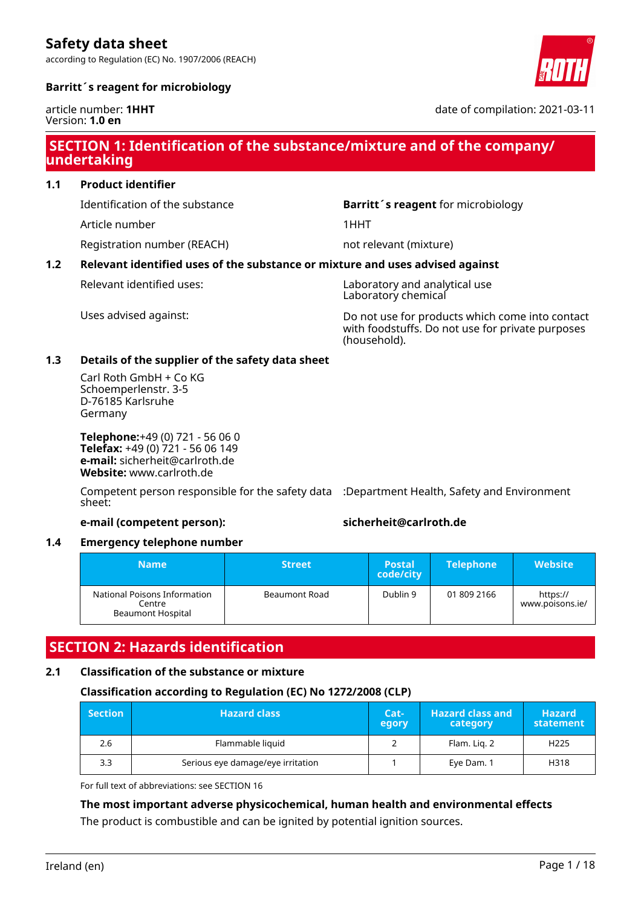according to Regulation (EC) No. 1907/2006 (REACH)



#### **Barritt´s reagent for microbiology**

article number: **1HHT** Version: **1.0 en**

date of compilation: 2021-03-11

### **SECTION 1: Identification of the substance/mixture and of the company/ undertaking**

**1.1 Product identifier**

Article number 1HHT

Registration number (REACH) not relevant (mixture)

Identification of the substance **Barritt´s reagent** for microbiology

#### **1.2 Relevant identified uses of the substance or mixture and uses advised against**

Relevant identified uses: Laboratory and analytical use Laboratory chemical

Uses advised against: Do not use for products which come into contact with foodstuffs. Do not use for private purposes (household).

#### **1.3 Details of the supplier of the safety data sheet**

Carl Roth GmbH + Co KG Schoemperlenstr. 3-5 D-76185 Karlsruhe Germany

**Telephone:**+49 (0) 721 - 56 06 0 **Telefax:** +49 (0) 721 - 56 06 149 **e-mail:** sicherheit@carlroth.de **Website:** www.carlroth.de

Competent person responsible for the safety data :Department Health, Safety and Environment sheet:

#### **e-mail (competent person): sicherheit@carlroth.de**

#### **1.4 Emergency telephone number**

| Name                                                               | <b>Street</b> | <b>Postal</b><br>code/city | <b>Telephone</b> | Website                     |
|--------------------------------------------------------------------|---------------|----------------------------|------------------|-----------------------------|
| National Poisons Information<br>Centre<br><b>Beaumont Hospital</b> | Beaumont Road | Dublin 9                   | 01 809 2166      | https://<br>www.poisons.ie/ |

### **SECTION 2: Hazards identification**

#### **2.1 Classification of the substance or mixture**

#### **Classification according to Regulation (EC) No 1272/2008 (CLP)**

| $\blacksquare$ Section | <b>Hazard class</b>               | Cat-<br>egory | <b>Hazard class and</b><br>category | <b>Hazard</b><br>statement |
|------------------------|-----------------------------------|---------------|-------------------------------------|----------------------------|
| 2.6                    | Flammable liquid                  |               | Flam. Lig. 2                        | H <sub>225</sub>           |
| 3.3                    | Serious eye damage/eye irritation |               | Eye Dam. 1                          | H318                       |

For full text of abbreviations: see SECTION 16

#### **The most important adverse physicochemical, human health and environmental effects**

The product is combustible and can be ignited by potential ignition sources.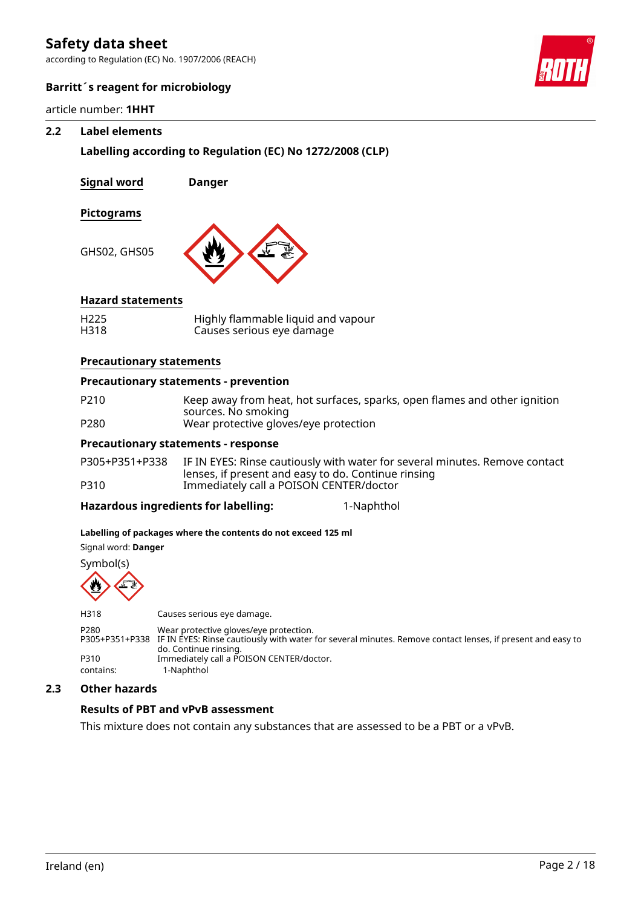according to Regulation (EC) No. 1907/2006 (REACH)



#### **Barritt´s reagent for microbiology**

article number: **1HHT**

#### **2.2 Label elements**

**Labelling according to Regulation (EC) No 1272/2008 (CLP)**

**Signal word Danger**

#### **Pictograms**

GHS02, GHS05



#### **Hazard statements**

| H <sub>225</sub> | Highly flammable liquid and vapour |
|------------------|------------------------------------|
| H318             | Causes serious eye damage          |

#### **Precautionary statements**

#### **Precautionary statements - prevention**

- P210 Keep away from heat, hot surfaces, sparks, open flames and other ignition sources. No smoking
- P280 Wear protective gloves/eye protection

#### **Precautionary statements - response**

P305+P351+P338 IF IN EYES: Rinse cautiously with water for several minutes. Remove contact lenses, if present and easy to do. Continue rinsing P310 Immediately call a POISON CENTER/doctor

**Hazardous ingredients for labelling:** 1-Naphthol

#### **Labelling of packages where the contents do not exceed 125 ml**

Signal word: **Danger**



| H318             | Causes serious eye damage.                                                                                                                                                                   |
|------------------|----------------------------------------------------------------------------------------------------------------------------------------------------------------------------------------------|
| P <sub>280</sub> | Wear protective gloves/eye protection.<br>P305+P351+P338 IF IN EYES: Rinse cautiously with water for several minutes. Remove contact lenses, if present and easy to<br>do. Continue rinsing. |
| P310             | Immediately call a POISON CENTER/doctor.                                                                                                                                                     |
| contains:        | 1-Naphthol                                                                                                                                                                                   |

#### **2.3 Other hazards**

#### **Results of PBT and vPvB assessment**

This mixture does not contain any substances that are assessed to be a PBT or a vPvB.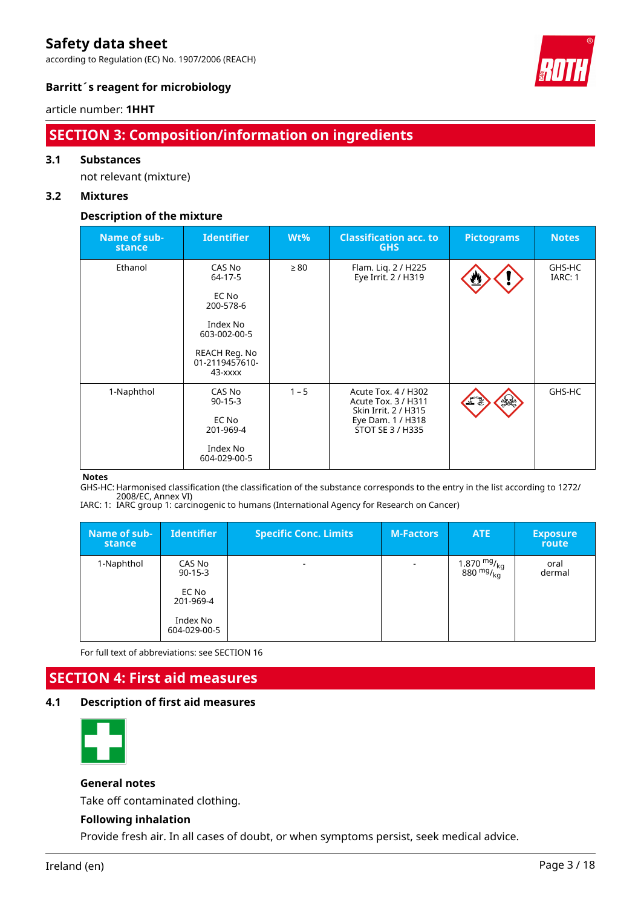according to Regulation (EC) No. 1907/2006 (REACH)



#### **Barritt´s reagent for microbiology**

#### article number: **1HHT**

### **SECTION 3: Composition/information on ingredients**

#### **3.1 Substances**

not relevant (mixture)

#### **3.2 Mixtures**

#### **Description of the mixture**

| Name of sub-<br>stance | <b>Identifier</b>                                                                    | $Wt\%$    | <b>Classification acc. to</b><br><b>GHS</b>                                                                 | <b>Pictograms</b> | <b>Notes</b>      |
|------------------------|--------------------------------------------------------------------------------------|-----------|-------------------------------------------------------------------------------------------------------------|-------------------|-------------------|
| Ethanol                | CAS No<br>64-17-5<br>EC No<br>200-578-6<br>Index No<br>603-002-00-5<br>REACH Reg. No | $\geq 80$ | Flam. Liq. 2 / H225<br>Eye Irrit. 2 / H319                                                                  | W                 | GHS-HC<br>IARC: 1 |
|                        | 01-2119457610-<br>$43  xxxxx$                                                        |           |                                                                                                             |                   |                   |
| 1-Naphthol             | CAS No<br>$90-15-3$<br>EC No<br>201-969-4<br>Index No<br>604-029-00-5                | $1 - 5$   | Acute Tox. 4 / H302<br>Acute Tox. 3 / H311<br>Skin Irrit. 2 / H315<br>Eye Dam. 1 / H318<br>STOT SE 3 / H335 | $rac{1}{2}$       | GHS-HC            |

#### **Notes**

GHS-HC: Harmonised classification (the classification of the substance corresponds to the entry in the list according to 1272/ 2008/EC, Annex VI)

IARC: 1: IARC group 1: carcinogenic to humans (International Agency for Research on Cancer)

| Name of sub-<br>stance | <b>Identifier</b>                     | <b>Specific Conc. Limits</b> | <b>M-Factors</b>         | ATE                                                       | <b>Exposure</b><br>route |
|------------------------|---------------------------------------|------------------------------|--------------------------|-----------------------------------------------------------|--------------------------|
| 1-Naphthol             | CAS No<br>$90-15-3$<br>EC No          | ۰                            | $\overline{\phantom{a}}$ | $\frac{1.870 \text{ mg}}{880 \text{ mg}}$ / <sub>kg</sub> | oral<br>dermal           |
|                        | 201-969-4<br>Index No<br>604-029-00-5 |                              |                          |                                                           |                          |

For full text of abbreviations: see SECTION 16

### **SECTION 4: First aid measures**

#### **4.1 Description of first aid measures**



#### **General notes**

Take off contaminated clothing.

#### **Following inhalation**

Provide fresh air. In all cases of doubt, or when symptoms persist, seek medical advice.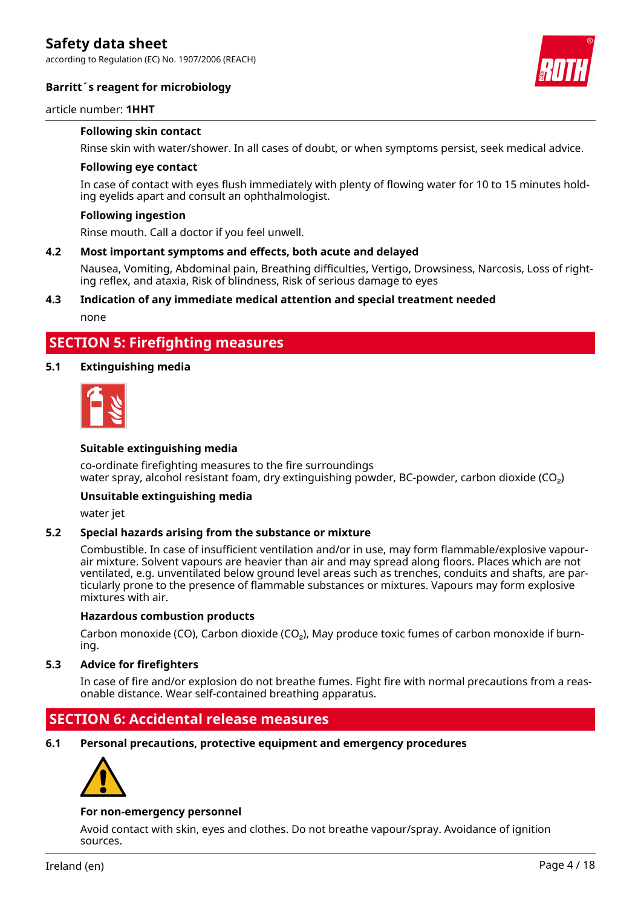according to Regulation (EC) No. 1907/2006 (REACH)

#### **Barritt´s reagent for microbiology**



#### article number: **1HHT**

#### **Following skin contact**

Rinse skin with water/shower. In all cases of doubt, or when symptoms persist, seek medical advice.

#### **Following eye contact**

In case of contact with eyes flush immediately with plenty of flowing water for 10 to 15 minutes holding eyelids apart and consult an ophthalmologist.

#### **Following ingestion**

Rinse mouth. Call a doctor if you feel unwell.

#### **4.2 Most important symptoms and effects, both acute and delayed**

Nausea, Vomiting, Abdominal pain, Breathing difficulties, Vertigo, Drowsiness, Narcosis, Loss of righting reflex, and ataxia, Risk of blindness, Risk of serious damage to eyes

### **4.3 Indication of any immediate medical attention and special treatment needed**

none

### **SECTION 5: Firefighting measures**

#### **5.1 Extinguishing media**



#### **Suitable extinguishing media**

co-ordinate firefighting measures to the fire surroundings water spray, alcohol resistant foam, dry extinguishing powder, BC-powder, carbon dioxide ( $CO<sub>2</sub>$ )

#### **Unsuitable extinguishing media**

water jet

#### **5.2 Special hazards arising from the substance or mixture**

Combustible. In case of insufficient ventilation and/or in use, may form flammable/explosive vapourair mixture. Solvent vapours are heavier than air and may spread along floors. Places which are not ventilated, e.g. unventilated below ground level areas such as trenches, conduits and shafts, are particularly prone to the presence of flammable substances or mixtures. Vapours may form explosive mixtures with air.

#### **Hazardous combustion products**

Carbon monoxide (CO), Carbon dioxide (CO₂), May produce toxic fumes of carbon monoxide if burning.

#### **5.3 Advice for firefighters**

In case of fire and/or explosion do not breathe fumes. Fight fire with normal precautions from a reasonable distance. Wear self-contained breathing apparatus.

### **SECTION 6: Accidental release measures**

**6.1 Personal precautions, protective equipment and emergency procedures**



#### **For non-emergency personnel**

Avoid contact with skin, eyes and clothes. Do not breathe vapour/spray. Avoidance of ignition sources.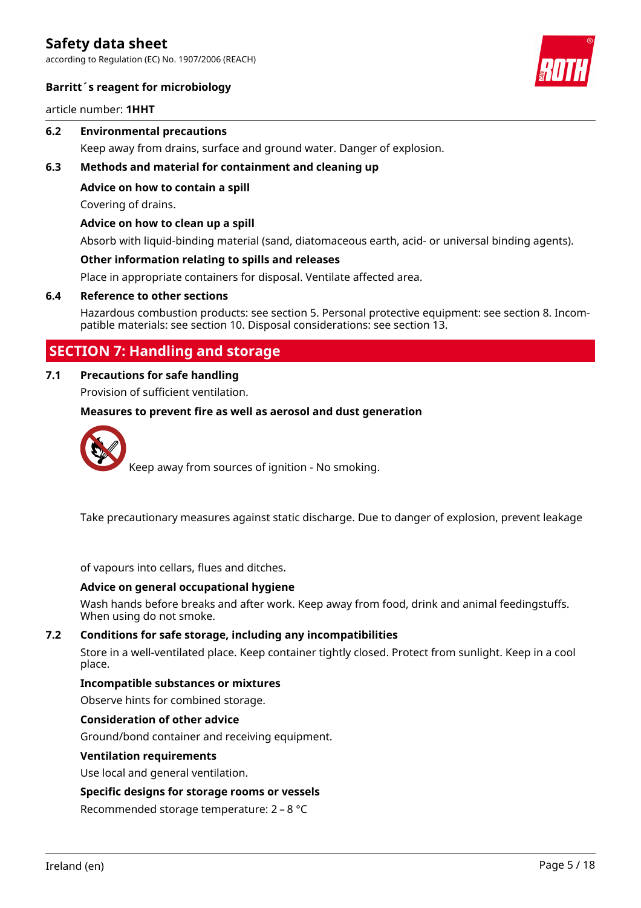according to Regulation (EC) No. 1907/2006 (REACH)



#### **Barritt´s reagent for microbiology**

article number: **1HHT**

#### **6.2 Environmental precautions**

Keep away from drains, surface and ground water. Danger of explosion.

#### **6.3 Methods and material for containment and cleaning up**

**Advice on how to contain a spill**

Covering of drains.

#### **Advice on how to clean up a spill**

Absorb with liquid-binding material (sand, diatomaceous earth, acid- or universal binding agents).

#### **Other information relating to spills and releases**

Place in appropriate containers for disposal. Ventilate affected area.

#### **6.4 Reference to other sections**

Hazardous combustion products: see section 5. Personal protective equipment: see section 8. Incompatible materials: see section 10. Disposal considerations: see section 13.

### **SECTION 7: Handling and storage**

### **7.1 Precautions for safe handling**

Provision of sufficient ventilation.

#### **Measures to prevent fire as well as aerosol and dust generation**



Keep away from sources of ignition - No smoking.

Take precautionary measures against static discharge. Due to danger of explosion, prevent leakage

of vapours into cellars, flues and ditches.

#### **Advice on general occupational hygiene**

Wash hands before breaks and after work. Keep away from food, drink and animal feedingstuffs. When using do not smoke.

#### **7.2 Conditions for safe storage, including any incompatibilities**

Store in a well-ventilated place. Keep container tightly closed. Protect from sunlight. Keep in a cool place.

#### **Incompatible substances or mixtures**

Observe hints for combined storage.

#### **Consideration of other advice**

Ground/bond container and receiving equipment.

#### **Ventilation requirements**

Use local and general ventilation.

#### **Specific designs for storage rooms or vessels**

Recommended storage temperature: 2 – 8 °C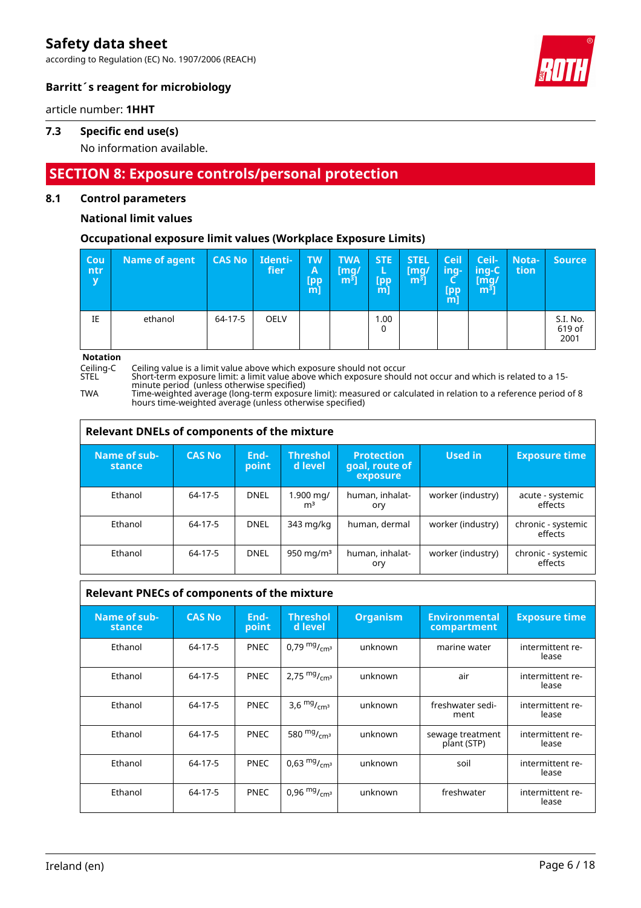according to Regulation (EC) No. 1907/2006 (REACH)



#### **Barritt´s reagent for microbiology**

article number: **1HHT**

#### **7.3 Specific end use(s)**

No information available.

### **SECTION 8: Exposure controls/personal protection**

#### **8.1 Control parameters**

#### **National limit values**

#### **Occupational exposure limit values (Workplace Exposure Limits)**

| <b>Cou</b><br>∣ntr | Name of agent | <b>CAS No</b> | Identi-<br>fier | <b>TW</b><br>A<br><b>Ipp</b><br>[m] | <b>TWA</b><br>[mq/<br>$m3$ ] | <b>STE</b><br>L<br>[pp<br>m] | <b>STEL</b><br>(mg/<br>m <sup>3</sup> | Ceil<br>ing-<br>[pp<br>m] | Ceil-<br>/ing-C<br>[mg/<br>์ $m3$ ] | Nota-<br>tion | <b>Source</b>              |
|--------------------|---------------|---------------|-----------------|-------------------------------------|------------------------------|------------------------------|---------------------------------------|---------------------------|-------------------------------------|---------------|----------------------------|
| IE                 | ethanol       | 64-17-5       | <b>OELV</b>     |                                     |                              | 1.00<br>0                    |                                       |                           |                                     |               | S.I. No.<br>619 of<br>2001 |

**Notation**

Ceiling-C Ceiling value is a limit value above which exposure should not occur

STEL Short-term exposure limit: a limit value above which exposure should not occur and which is related to a 15 minute period (unless otherwise specified)

TWA Time-weighted average (long-term exposure limit): measured or calculated in relation to a reference period of 8 hours time-weighted average (unless otherwise specified)

| Relevant DNELs of components of the mixture |               |                |                             |                                                 |                   |                               |  |  |
|---------------------------------------------|---------------|----------------|-----------------------------|-------------------------------------------------|-------------------|-------------------------------|--|--|
| Name of sub-<br>stance                      | <b>CAS No</b> | End-<br>point' | Threshol<br>d level         | <b>Protection</b><br>goal, route of<br>exposure | Used in           | <b>Exposure time</b>          |  |  |
| Ethanol                                     | 64-17-5       | <b>DNEL</b>    | 1.900 mg/<br>m <sup>3</sup> | human, inhalat-<br>ory                          | worker (industry) | acute - systemic<br>effects   |  |  |
| Ethanol                                     | 64-17-5       | <b>DNEL</b>    | 343 mg/kg                   | human, dermal                                   | worker (industry) | chronic - systemic<br>effects |  |  |
| Ethanol                                     | 64-17-5       | <b>DNEL</b>    | 950 mg/m $3$                | human, inhalat-<br>ory                          | worker (industry) | chronic - systemic<br>effects |  |  |

| <b>Relevant PNECs of components of the mixture</b> |               |               |                                      |                 |                                     |                           |  |  |
|----------------------------------------------------|---------------|---------------|--------------------------------------|-----------------|-------------------------------------|---------------------------|--|--|
| Name of sub-<br>stance                             | <b>CAS No</b> | End-<br>point | <b>Threshol</b><br>d level           | <b>Organism</b> | <b>Environmental</b><br>compartment | <b>Exposure time</b>      |  |  |
| Ethanol                                            | 64-17-5       | <b>PNEC</b>   | 0,79 $mg/m1cm3$                      | unknown         | marine water                        | intermittent re-<br>lease |  |  |
| Ethanol                                            | 64-17-5       | <b>PNEC</b>   | 2,75 $mg/m3$                         | unknown         | air                                 | intermittent re-<br>lease |  |  |
| Ethanol                                            | 64-17-5       | <b>PNEC</b>   | 3,6 $mg/m3$                          | unknown         | freshwater sedi-<br>ment            | intermittent re-<br>lease |  |  |
| Ethanol                                            | 64-17-5       | <b>PNEC</b>   | 580 $mg$ / <sub>cm<sup>3</sup></sub> | unknown         | sewage treatment<br>plant (STP)     | intermittent re-<br>lease |  |  |
| Ethanol                                            | 64-17-5       | <b>PNEC</b>   | $0.63 \frac{mg}{cm^3}$               | unknown         | soil                                | intermittent re-<br>lease |  |  |
| Ethanol                                            | 64-17-5       | <b>PNEC</b>   | 0,96 $mg/m3$                         | unknown         | freshwater                          | intermittent re-<br>lease |  |  |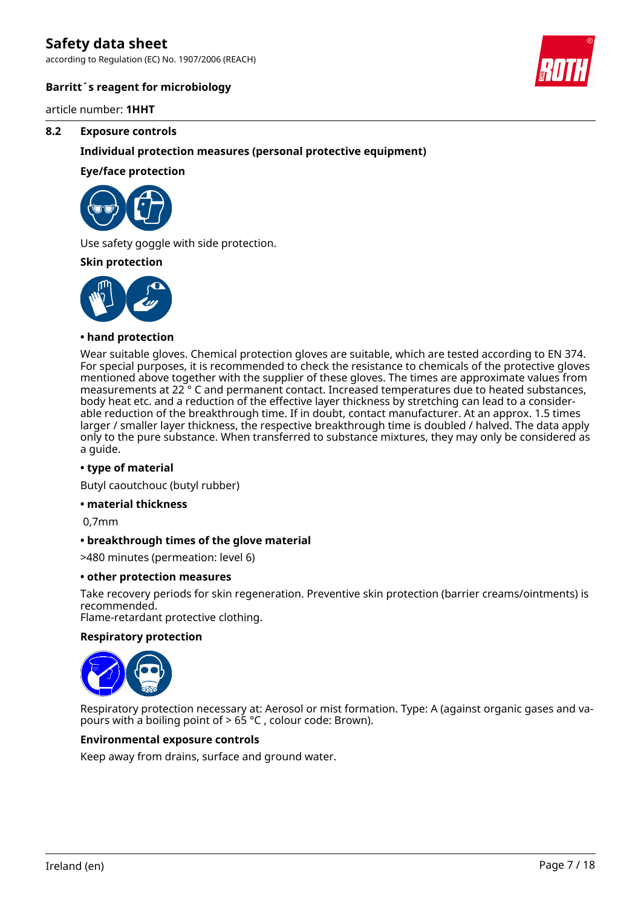according to Regulation (EC) No. 1907/2006 (REACH)



#### **Barritt´s reagent for microbiology**

article number: **1HHT**

#### **8.2 Exposure controls**

#### **Individual protection measures (personal protective equipment)**

#### **Eye/face protection**



Use safety goggle with side protection.

#### **Skin protection**



#### **• hand protection**

Wear suitable gloves. Chemical protection gloves are suitable, which are tested according to EN 374. For special purposes, it is recommended to check the resistance to chemicals of the protective gloves mentioned above together with the supplier of these gloves. The times are approximate values from measurements at 22 ° C and permanent contact. Increased temperatures due to heated substances, body heat etc. and a reduction of the effective layer thickness by stretching can lead to a considerable reduction of the breakthrough time. If in doubt, contact manufacturer. At an approx. 1.5 times larger / smaller layer thickness, the respective breakthrough time is doubled / halved. The data apply only to the pure substance. When transferred to substance mixtures, they may only be considered as a guide.

#### **• type of material**

Butyl caoutchouc (butyl rubber)

#### **• material thickness**

0,7mm

#### **• breakthrough times of the glove material**

>480 minutes (permeation: level 6)

#### **• other protection measures**

Take recovery periods for skin regeneration. Preventive skin protection (barrier creams/ointments) is recommended.

Flame-retardant protective clothing.

#### **Respiratory protection**



Respiratory protection necessary at: Aerosol or mist formation. Type: A (against organic gases and vapours with a boiling point of > 65 °C , colour code: Brown).

#### **Environmental exposure controls**

Keep away from drains, surface and ground water.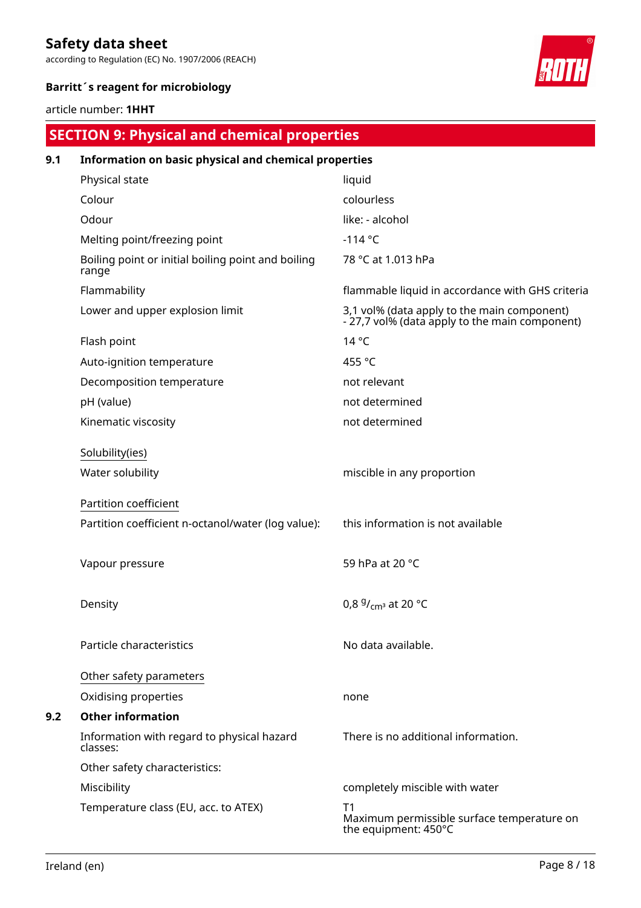according to Regulation (EC) No. 1907/2006 (REACH)



#### **Barritt´s reagent for microbiology**

#### article number: **1HHT**

# **SECTION 9: Physical and chemical properties**

| 9.1 | Information on basic physical and chemical properties       |                                                                                               |  |  |  |  |  |
|-----|-------------------------------------------------------------|-----------------------------------------------------------------------------------------------|--|--|--|--|--|
|     | Physical state                                              | liquid                                                                                        |  |  |  |  |  |
|     | Colour                                                      | colourless                                                                                    |  |  |  |  |  |
|     | Odour                                                       | like: - alcohol                                                                               |  |  |  |  |  |
|     | Melting point/freezing point                                | $-114$ °C                                                                                     |  |  |  |  |  |
|     | Boiling point or initial boiling point and boiling<br>range | 78 °C at 1.013 hPa                                                                            |  |  |  |  |  |
|     | Flammability                                                | flammable liquid in accordance with GHS criteria                                              |  |  |  |  |  |
|     | Lower and upper explosion limit                             | 3,1 vol% (data apply to the main component)<br>- 27,7 vol% (data apply to the main component) |  |  |  |  |  |
|     | Flash point                                                 | $14^{\circ}$ C                                                                                |  |  |  |  |  |
|     | Auto-ignition temperature                                   | 455 °C                                                                                        |  |  |  |  |  |
|     | Decomposition temperature                                   | not relevant                                                                                  |  |  |  |  |  |
|     | pH (value)                                                  | not determined                                                                                |  |  |  |  |  |
|     | Kinematic viscosity                                         | not determined                                                                                |  |  |  |  |  |
|     | Solubility(ies)                                             |                                                                                               |  |  |  |  |  |
|     | Water solubility                                            | miscible in any proportion                                                                    |  |  |  |  |  |
|     |                                                             |                                                                                               |  |  |  |  |  |
|     | Partition coefficient                                       |                                                                                               |  |  |  |  |  |
|     | Partition coefficient n-octanol/water (log value):          | this information is not available                                                             |  |  |  |  |  |
|     |                                                             |                                                                                               |  |  |  |  |  |
|     | Vapour pressure                                             | 59 hPa at 20 °C                                                                               |  |  |  |  |  |
|     |                                                             |                                                                                               |  |  |  |  |  |
|     | Density                                                     | 0,8 $9/$ <sub>cm</sub> <sup>3</sup> at 20 °C                                                  |  |  |  |  |  |
|     |                                                             |                                                                                               |  |  |  |  |  |
|     | Particle characteristics                                    | No data available.                                                                            |  |  |  |  |  |
|     |                                                             |                                                                                               |  |  |  |  |  |
|     | Other safety parameters                                     |                                                                                               |  |  |  |  |  |
|     | Oxidising properties<br><b>Other information</b>            | none                                                                                          |  |  |  |  |  |
| 9.2 |                                                             |                                                                                               |  |  |  |  |  |
|     | Information with regard to physical hazard<br>classes:      | There is no additional information.                                                           |  |  |  |  |  |
|     | Other safety characteristics:                               |                                                                                               |  |  |  |  |  |
|     | Miscibility                                                 | completely miscible with water                                                                |  |  |  |  |  |
|     | Temperature class (EU, acc. to ATEX)                        | T1<br>Maximum permissible surface temperature on<br>the equipment: 450°C                      |  |  |  |  |  |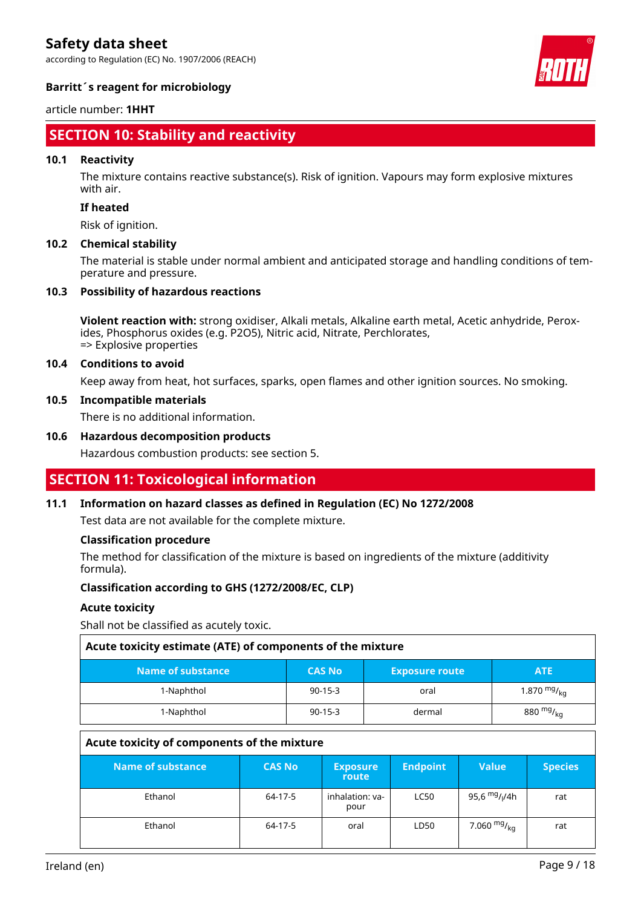according to Regulation (EC) No. 1907/2006 (REACH)



#### **Barritt´s reagent for microbiology**

#### article number: **1HHT**

### **SECTION 10: Stability and reactivity**

#### **10.1 Reactivity**

The mixture contains reactive substance(s). Risk of ignition. Vapours may form explosive mixtures with air.

#### **If heated**

Risk of ignition.

#### **10.2 Chemical stability**

The material is stable under normal ambient and anticipated storage and handling conditions of temperature and pressure.

#### **10.3 Possibility of hazardous reactions**

**Violent reaction with:** strong oxidiser, Alkali metals, Alkaline earth metal, Acetic anhydride, Peroxides, Phosphorus oxides (e.g. P2O5), Nitric acid, Nitrate, Perchlorates, => Explosive properties

#### **10.4 Conditions to avoid**

Keep away from heat, hot surfaces, sparks, open flames and other ignition sources. No smoking.

#### **10.5 Incompatible materials**

There is no additional information.

#### **10.6 Hazardous decomposition products**

Hazardous combustion products: see section 5.

### **SECTION 11: Toxicological information**

#### **11.1 Information on hazard classes as defined in Regulation (EC) No 1272/2008**

Test data are not available for the complete mixture.

#### **Classification procedure**

The method for classification of the mixture is based on ingredients of the mixture (additivity formula).

#### **Classification according to GHS (1272/2008/EC, CLP)**

#### **Acute toxicity**

Shall not be classified as acutely toxic.

| Acute toxicity estimate (ATE) of components of the mixture |                       |                  |  |  |  |  |
|------------------------------------------------------------|-----------------------|------------------|--|--|--|--|
| <b>CAS No</b>                                              | <b>Exposure route</b> | <b>ATE</b>       |  |  |  |  |
| $90-15-3$                                                  | oral                  | 1.870 $mg/_{kq}$ |  |  |  |  |
| $90 - 15 - 3$                                              | dermal                | 880 $mg/_{ka}$   |  |  |  |  |
|                                                            |                       |                  |  |  |  |  |

#### **Acute toxicity of components of the mixture**

| Name of substance | <b>CAS No</b> | <b>Exposure</b><br>route | <b>Endpoint</b> | <b>Value</b>                          | <b>Species</b> |
|-------------------|---------------|--------------------------|-----------------|---------------------------------------|----------------|
| Ethanol           | 64-17-5       | inhalation: va-<br>pour  | <b>LC50</b>     | 95,6 <sup>mg</sup> / <sub>l</sub> /4h | rat            |
| Ethanol           | 64-17-5       | oral                     | LD50            | 7.060 $mg/kq$                         | rat            |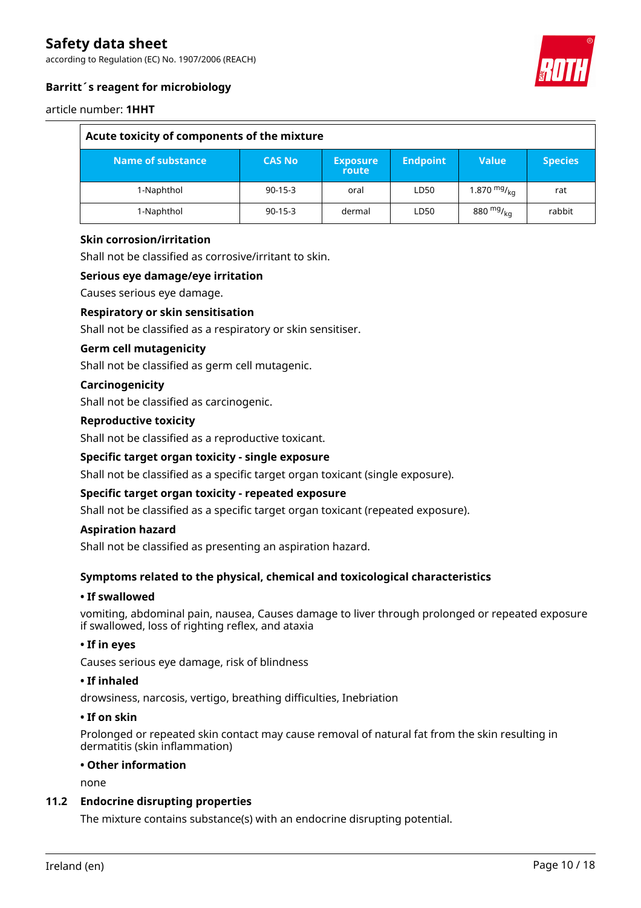according to Regulation (EC) No. 1907/2006 (REACH)



#### **Barritt´s reagent for microbiology**

#### article number: **1HHT**

| Acute toxicity of components of the mixture |               |                          |                 |                  |                |
|---------------------------------------------|---------------|--------------------------|-----------------|------------------|----------------|
| Name of substance                           | <b>CAS No</b> | <b>Exposure</b><br>route | <b>Endpoint</b> | Value            | <b>Species</b> |
| 1-Naphthol                                  | $90-15-3$     | oral                     | LD50            | 1.870 $mg/_{ka}$ | rat            |
| 1-Naphthol                                  | $90-15-3$     | dermal                   | LD50            | 880 $mg/_{ka}$   | rabbit         |

#### **Skin corrosion/irritation**

Shall not be classified as corrosive/irritant to skin.

#### **Serious eye damage/eye irritation**

Causes serious eye damage.

#### **Respiratory or skin sensitisation**

Shall not be classified as a respiratory or skin sensitiser.

#### **Germ cell mutagenicity**

Shall not be classified as germ cell mutagenic.

#### **Carcinogenicity**

Shall not be classified as carcinogenic.

#### **Reproductive toxicity**

Shall not be classified as a reproductive toxicant.

#### **Specific target organ toxicity - single exposure**

Shall not be classified as a specific target organ toxicant (single exposure).

#### **Specific target organ toxicity - repeated exposure**

Shall not be classified as a specific target organ toxicant (repeated exposure).

#### **Aspiration hazard**

Shall not be classified as presenting an aspiration hazard.

#### **Symptoms related to the physical, chemical and toxicological characteristics**

#### **• If swallowed**

vomiting, abdominal pain, nausea, Causes damage to liver through prolonged or repeated exposure if swallowed, loss of righting reflex, and ataxia

#### **• If in eyes**

Causes serious eye damage, risk of blindness

#### **• If inhaled**

drowsiness, narcosis, vertigo, breathing difficulties, Inebriation

#### **• If on skin**

Prolonged or repeated skin contact may cause removal of natural fat from the skin resulting in dermatitis (skin inflammation)

#### **• Other information**

none

#### **11.2 Endocrine disrupting properties**

The mixture contains substance(s) with an endocrine disrupting potential.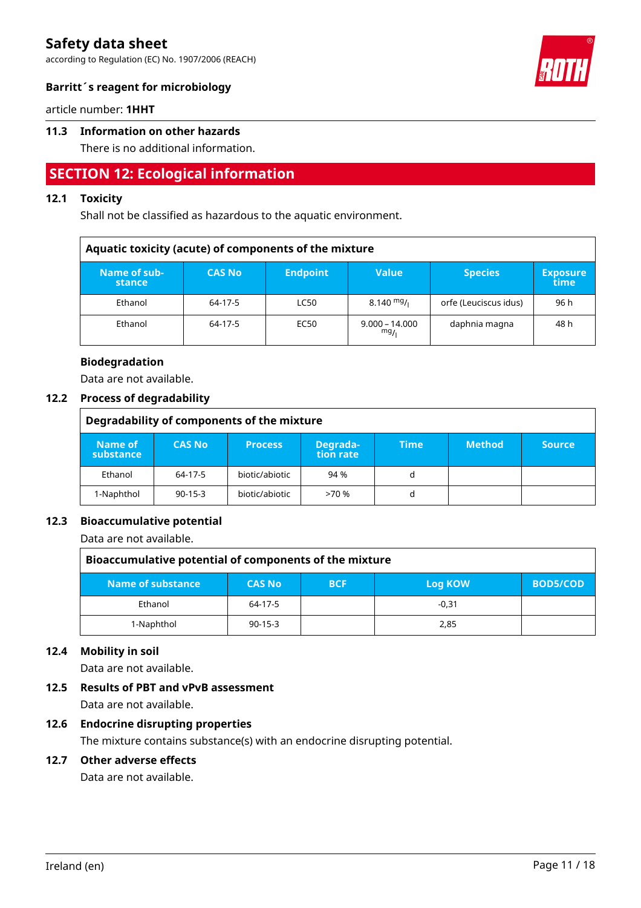according to Regulation (EC) No. 1907/2006 (REACH)



#### **Barritt´s reagent for microbiology**

article number: **1HHT**

#### **11.3 Information on other hazards**

There is no additional information.

### **SECTION 12: Ecological information**

#### **12.1 Toxicity**

Shall not be classified as hazardous to the aquatic environment.

| Aquatic toxicity (acute) of components of the mixture |               |                 |                         |                       |                         |
|-------------------------------------------------------|---------------|-----------------|-------------------------|-----------------------|-------------------------|
| Name of sub-<br>stance                                | <b>CAS No</b> | <b>Endpoint</b> | <b>Value</b>            | <b>Species</b>        | <b>Exposure</b><br>time |
| Ethanol                                               | 64-17-5       | <b>LC50</b>     | $8.140 \frac{mg}{l}$    | orfe (Leuciscus idus) | 96 h                    |
| Ethanol                                               | 64-17-5       | EC50            | $9.000 - 14.000$<br>mg/ | daphnia magna         | 48 h                    |

#### **Biodegradation**

Data are not available.

#### **12.2 Process of degradability**

| Degradability of components of the mixture |               |                |                       |             |               |               |
|--------------------------------------------|---------------|----------------|-----------------------|-------------|---------------|---------------|
| Name of<br>substance                       | <b>CAS No</b> | <b>Process</b> | Degrada-<br>tion rate | <b>Time</b> | <b>Method</b> | <b>Source</b> |
| Ethanol                                    | 64-17-5       | biotic/abiotic | 94 %                  | d           |               |               |
| 1-Naphthol                                 | $90 - 15 - 3$ | biotic/abiotic | >70%                  | d           |               |               |

#### **12.3 Bioaccumulative potential**

Data are not available.

| Bioaccumulative potential of components of the mixture |               |            |         |                 |  |
|--------------------------------------------------------|---------------|------------|---------|-----------------|--|
| Name of substance                                      | <b>CAS No</b> | <b>BCF</b> | Log KOW | <b>BOD5/COD</b> |  |
| Ethanol                                                | 64-17-5       |            | $-0.31$ |                 |  |
| 1-Naphthol                                             | $90 - 15 - 3$ |            | 2,85    |                 |  |

#### **12.4 Mobility in soil**

Data are not available.

#### **12.5 Results of PBT and vPvB assessment**

Data are not available.

#### **12.6 Endocrine disrupting properties**

The mixture contains substance(s) with an endocrine disrupting potential.

#### **12.7 Other adverse effects**

Data are not available.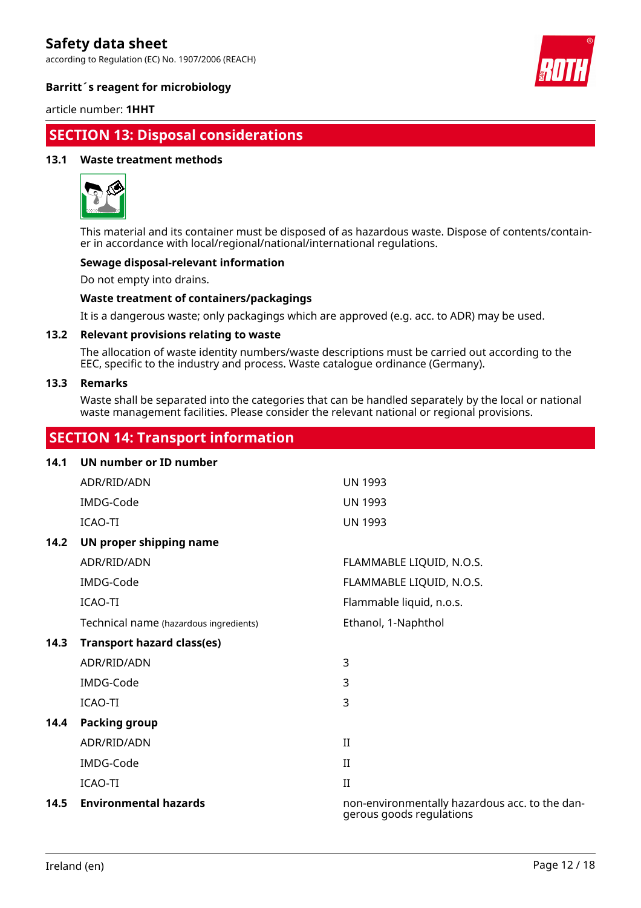according to Regulation (EC) No. 1907/2006 (REACH)



#### **Barritt´s reagent for microbiology**

article number: **1HHT**

### **SECTION 13: Disposal considerations**

#### **13.1 Waste treatment methods**



This material and its container must be disposed of as hazardous waste. Dispose of contents/container in accordance with local/regional/national/international regulations.

#### **Sewage disposal-relevant information**

Do not empty into drains.

#### **Waste treatment of containers/packagings**

It is a dangerous waste; only packagings which are approved (e.g. acc. to ADR) may be used.

#### **13.2 Relevant provisions relating to waste**

The allocation of waste identity numbers/waste descriptions must be carried out according to the EEC, specific to the industry and process. Waste catalogue ordinance (Germany).

#### **13.3 Remarks**

Waste shall be separated into the categories that can be handled separately by the local or national waste management facilities. Please consider the relevant national or regional provisions.

### **SECTION 14: Transport information**

| 14.1 | UN number or ID number                 |                                                                            |
|------|----------------------------------------|----------------------------------------------------------------------------|
|      | ADR/RID/ADN                            | <b>UN 1993</b>                                                             |
|      | IMDG-Code                              | <b>UN 1993</b>                                                             |
|      | ICAO-TI                                | <b>UN 1993</b>                                                             |
| 14.2 | UN proper shipping name                |                                                                            |
|      | ADR/RID/ADN                            | FLAMMABLE LIQUID, N.O.S.                                                   |
|      | IMDG-Code                              | FLAMMABLE LIQUID, N.O.S.                                                   |
|      | <b>ICAO-TI</b>                         | Flammable liquid, n.o.s.                                                   |
|      | Technical name (hazardous ingredients) | Ethanol, 1-Naphthol                                                        |
| 14.3 | <b>Transport hazard class(es)</b>      |                                                                            |
|      | ADR/RID/ADN                            | 3                                                                          |
|      | IMDG-Code                              | 3                                                                          |
|      | ICAO-TI                                | 3                                                                          |
| 14.4 | <b>Packing group</b>                   |                                                                            |
|      | ADR/RID/ADN                            | $_{\rm II}$                                                                |
|      | IMDG-Code                              | $\rm II$                                                                   |
|      | ICAO-TI                                | $\rm II$                                                                   |
| 14.5 | <b>Environmental hazards</b>           | non-environmentally hazardous acc. to the dan-<br>gerous goods regulations |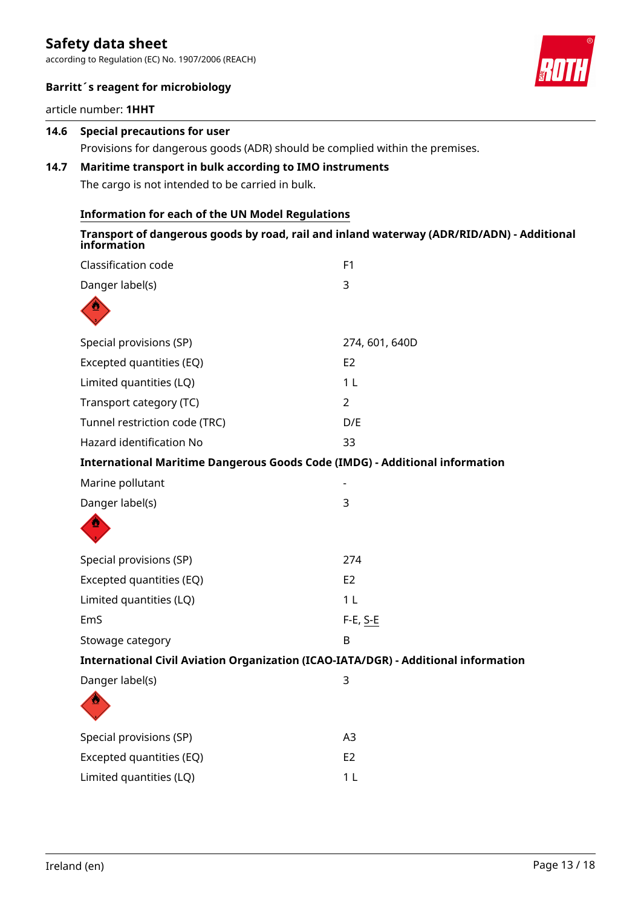according to Regulation (EC) No. 1907/2006 (REACH)



#### **Barritt´s reagent for microbiology**

article number: **1HHT**

| 14.6 | <b>Special precautions for user</b>                                                                                                     |                                                                                                          |  |  |  |  |
|------|-----------------------------------------------------------------------------------------------------------------------------------------|----------------------------------------------------------------------------------------------------------|--|--|--|--|
| 14.7 | Provisions for dangerous goods (ADR) should be complied within the premises.<br>Maritime transport in bulk according to IMO instruments |                                                                                                          |  |  |  |  |
|      | The cargo is not intended to be carried in bulk.                                                                                        |                                                                                                          |  |  |  |  |
|      |                                                                                                                                         |                                                                                                          |  |  |  |  |
|      | <b>Information for each of the UN Model Regulations</b>                                                                                 |                                                                                                          |  |  |  |  |
|      |                                                                                                                                         | Transport of dangerous goods by road, rail and inland waterway (ADR/RID/ADN) - Additional<br>information |  |  |  |  |
|      | Classification code                                                                                                                     | F1                                                                                                       |  |  |  |  |
|      | Danger label(s)                                                                                                                         | 3                                                                                                        |  |  |  |  |
|      |                                                                                                                                         |                                                                                                          |  |  |  |  |
|      | Special provisions (SP)                                                                                                                 | 274, 601, 640D                                                                                           |  |  |  |  |
|      | Excepted quantities (EQ)                                                                                                                | E <sub>2</sub>                                                                                           |  |  |  |  |
|      | Limited quantities (LQ)                                                                                                                 | 1 <sub>L</sub>                                                                                           |  |  |  |  |
|      | Transport category (TC)                                                                                                                 | $\overline{2}$                                                                                           |  |  |  |  |
|      | Tunnel restriction code (TRC)                                                                                                           | D/E                                                                                                      |  |  |  |  |
|      | Hazard identification No                                                                                                                | 33                                                                                                       |  |  |  |  |
|      |                                                                                                                                         | International Maritime Dangerous Goods Code (IMDG) - Additional information                              |  |  |  |  |
|      | Marine pollutant                                                                                                                        |                                                                                                          |  |  |  |  |
|      | Danger label(s)                                                                                                                         | 3                                                                                                        |  |  |  |  |
|      |                                                                                                                                         |                                                                                                          |  |  |  |  |
|      | Special provisions (SP)                                                                                                                 | 274                                                                                                      |  |  |  |  |
|      | Excepted quantities (EQ)                                                                                                                | E <sub>2</sub>                                                                                           |  |  |  |  |
|      | Limited quantities (LQ)                                                                                                                 | 1 L                                                                                                      |  |  |  |  |
|      | EmS                                                                                                                                     | $F-E, S-E$                                                                                               |  |  |  |  |
|      | Stowage category                                                                                                                        | B                                                                                                        |  |  |  |  |
|      |                                                                                                                                         | International Civil Aviation Organization (ICAO-IATA/DGR) - Additional information                       |  |  |  |  |
|      | Danger label(s)                                                                                                                         | $\mathsf 3$                                                                                              |  |  |  |  |
|      |                                                                                                                                         |                                                                                                          |  |  |  |  |
|      | Special provisions (SP)                                                                                                                 | A3                                                                                                       |  |  |  |  |
|      | Excepted quantities (EQ)                                                                                                                | E <sub>2</sub>                                                                                           |  |  |  |  |
|      | Limited quantities (LQ)                                                                                                                 | 1 <sub>L</sub>                                                                                           |  |  |  |  |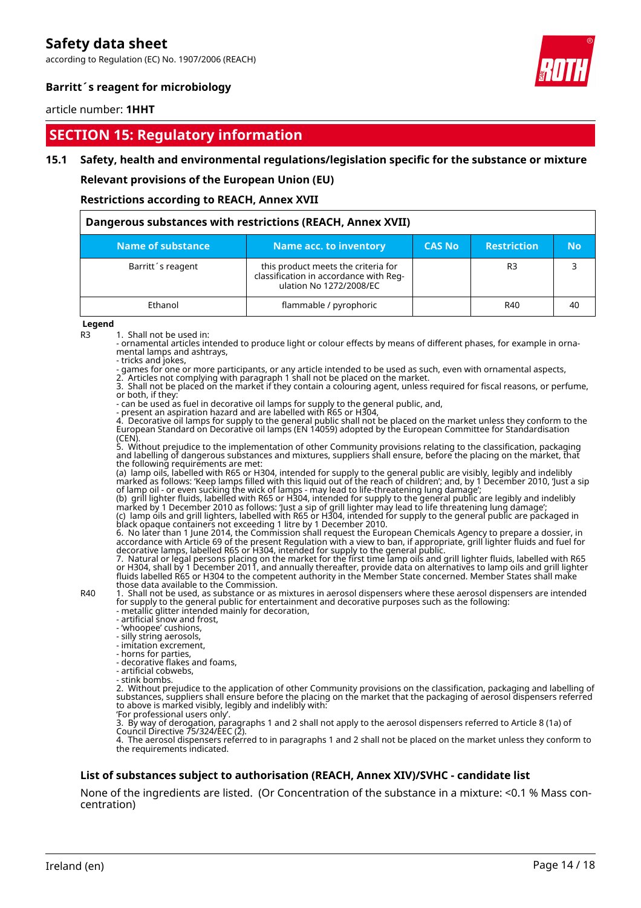according to Regulation (EC) No. 1907/2006 (REACH)



#### **Barritt´s reagent for microbiology**

#### article number: **1HHT**

### **SECTION 15: Regulatory information**

#### **15.1 Safety, health and environmental regulations/legislation specific for the substance or mixture**

**Relevant provisions of the European Union (EU)**

**Restrictions according to REACH, Annex XVII**

| Dangerous substances with restrictions (REACH, Annex XVII) |                                                                                                          |               |                    |    |  |  |
|------------------------------------------------------------|----------------------------------------------------------------------------------------------------------|---------------|--------------------|----|--|--|
| Name of substance                                          | <b>Name acc. to inventory</b>                                                                            | <b>CAS No</b> | <b>Restriction</b> | No |  |  |
| Barritt's reagent                                          | this product meets the criteria for<br>classification in accordance with Reg-<br>ulation No 1272/2008/EC |               | R <sub>3</sub>     |    |  |  |
| Ethanol                                                    | flammable / pyrophoric                                                                                   |               | R40                | 40 |  |  |

#### **Legend**

R3 1. Shall not be used in:

- ornamental articles intended to produce light or colour effects by means of different phases, for example in ornamental lamps and ashtrays, - tricks and jokes,

- games for one or more participants, or any article intended to be used as such, even with ornamental aspects,

2. Articles not complying with paragraph 1 shall not be placed on the market.

3. Shall not be placed on the market if they contain a colouring agent, unless required for fiscal reasons, or perfume, or both, if they:

- can be used as fuel in decorative oil lamps for supply to the general public, and,

- present an aspiration hazard and are labelled with R65 or H304,

4. Decorative oil lamps for supply to the general public shall not be placed on the market unless they conform to the European Standard on Decorative oil lamps (EN 14059) adopted by the European Committee for Standardisation (CEN).

5. Without prejudice to the implementation of other Community provisions relating to the classification, packaging and labelling of dangerous substances and mixtures, suppliers shall ensure, before the placing on the market, that the following requirements are met:

(a) lamp oils, labelled with R65 or H304, intended for supply to the general public are visibly, legibly and indelibly marked as follows: 'Keep lamps filled with this liquid out of the reach of children'; and, by 1 December 2010, 'Just a sip of lamp oil - or even sucking the wick of lamps - may lead to life-threatening lung damage';

(b) grill lighter fluids, labelled with R65 or H304, intended for supply to the general public are legibly and indelibly marked by 1 December 2010 as follows: 'Just a sip of grill lighter may lead to life threatening lung damage'; (c) lamp oils and grill lighters, labelled with R65 or H304, intended for supply to the general public are packaged in black opaque containers not exceeding 1 litre by 1 December 2010.

6. No later than 1 June 2014, the Commission shall request the European Chemicals Agency to prepare a dossier, in accordance with Article 69 of the present Regulation with a view to ban, if appropriate, grill lighter fluids and fuel for decorative lamps, labelled R65 or H304, intended for supply to the general public.

7. Natural or legal persons placing on the market for the first time lamp oils and grill lighter fluids, labelled with R65 or H304, shall by 1 December 2011, and annually thereafter, provide data on alternatives to lamp oils and grill lighter fluids labelled R65 or H304 to the competent authority in the Member State concerned. Member States shall make those data available to the Commission.

R40 1. Shall not be used, as substance or as mixtures in aerosol dispensers where these aerosol dispensers are intended for supply to the general public for entertainment and decorative purposes such as the following:

- metallic glitter intended mainly for decoration,

- artificial snow and frost,

- 'whoopee' cushions,

- silly string aerosols, - imitation excrement,

- horns for parties,

- decorative flakes and foams,

- artificial cobwebs,

- stink bombs.

2. Without prejudice to the application of other Community provisions on the classification, packaging and labelling of substances, suppliers shall ensure before the placing on the market that the packaging of aerosol dispensers referred to above is marked visibly, legibly and indelibly with: 'For professional users only'.

3. By way of derogation, paragraphs 1 and 2 shall not apply to the aerosol dispensers referred to Article 8 (1a) of Council Directive 75/324/EEC (2).

4. The aerosol dispensers referred to in paragraphs 1 and 2 shall not be placed on the market unless they conform to the requirements indicated.

#### **List of substances subject to authorisation (REACH, Annex XIV)/SVHC - candidate list**

None of the ingredients are listed. (Or Concentration of the substance in a mixture: <0.1 % Mass concentration)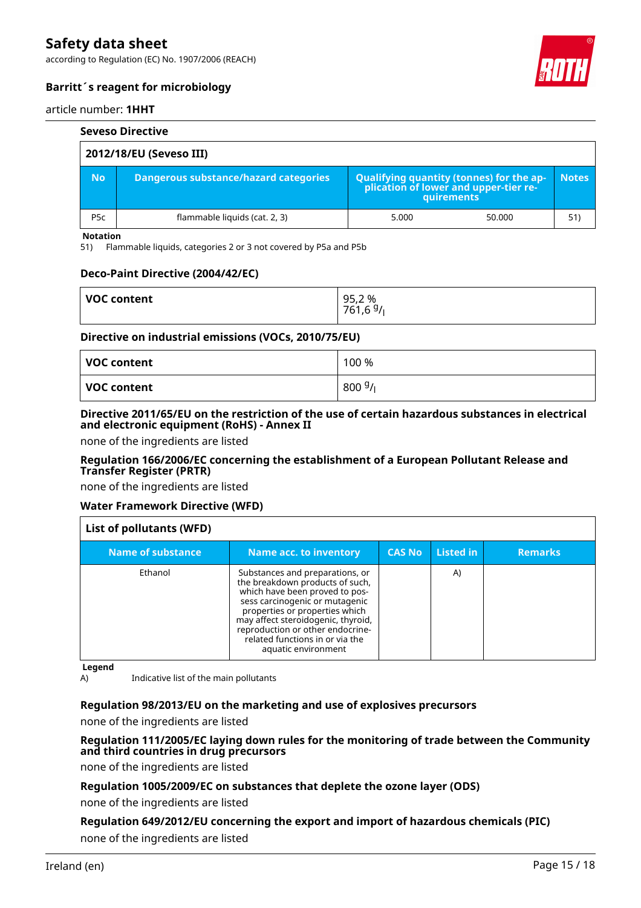according to Regulation (EC) No. 1907/2006 (REACH)



#### **Barritt´s reagent for microbiology**

#### article number: **1HHT**

|                         | <b>Seveso Directive</b>               |       |                                                                                                   |              |  |  |
|-------------------------|---------------------------------------|-------|---------------------------------------------------------------------------------------------------|--------------|--|--|
| 2012/18/EU (Seveso III) |                                       |       |                                                                                                   |              |  |  |
| <b>No</b>               | Dangerous substance/hazard categories |       | Qualifying quantity (tonnes) for the application of lower and upper-tier re-<br><b>auirements</b> | <b>Notes</b> |  |  |
| P <sub>5</sub> c        | flammable liquids (cat. 2, 3)         | 5.000 | 50.000                                                                                            | 51)          |  |  |

#### **Notation**

51) Flammable liquids, categories 2 or 3 not covered by P5a and P5b

#### **Deco-Paint Directive (2004/42/EC)**

| <b>VOC content</b> | 95,2%<br>761,6 <sup>9</sup> /L |
|--------------------|--------------------------------|
|                    |                                |

#### **Directive on industrial emissions (VOCs, 2010/75/EU)**

| VOC content | 100 %            |
|-------------|------------------|
| VOC content | $800\frac{g}{l}$ |

#### **Directive 2011/65/EU on the restriction of the use of certain hazardous substances in electrical and electronic equipment (RoHS) - Annex II**

none of the ingredients are listed

#### **Regulation 166/2006/EC concerning the establishment of a European Pollutant Release and Transfer Register (PRTR)**

none of the ingredients are listed

#### **Water Framework Directive (WFD)**

| List of pollutants (WFD) |                                                                                                                                                                                                                                                                                                              |               |           |                |  |
|--------------------------|--------------------------------------------------------------------------------------------------------------------------------------------------------------------------------------------------------------------------------------------------------------------------------------------------------------|---------------|-----------|----------------|--|
| Name of substance        | <b>Name acc. to inventory</b>                                                                                                                                                                                                                                                                                | <b>CAS No</b> | Listed in | <b>Remarks</b> |  |
| Ethanol                  | Substances and preparations, or<br>the breakdown products of such,<br>which have been proved to pos-<br>sess carcinogenic or mutagenic<br>properties or properties which<br>may affect steroidogenic, thyroid,<br>reproduction or other endocrine-<br>related functions in or via the<br>aquatic environment |               | A)        |                |  |

**Legend**

A) Indicative list of the main pollutants

#### **Regulation 98/2013/EU on the marketing and use of explosives precursors**

none of the ingredients are listed

#### **Regulation 111/2005/EC laying down rules for the monitoring of trade between the Community and third countries in drug precursors**

none of the ingredients are listed

#### **Regulation 1005/2009/EC on substances that deplete the ozone layer (ODS)**

none of the ingredients are listed

### **Regulation 649/2012/EU concerning the export and import of hazardous chemicals (PIC)**

none of the ingredients are listed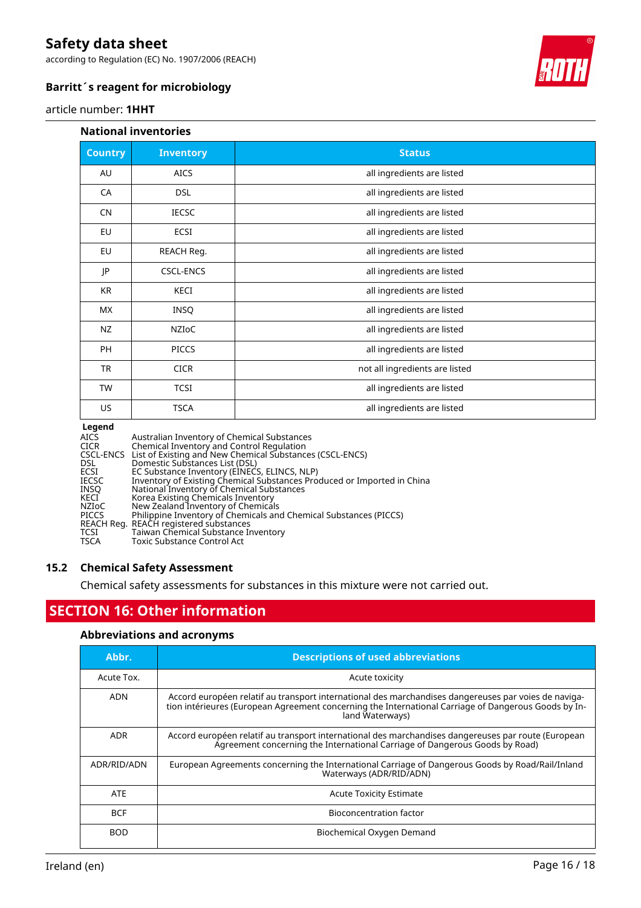according to Regulation (EC) No. 1907/2006 (REACH)



#### **Barritt´s reagent for microbiology**

#### article number: **1HHT**

#### **National inventories**

| <b>Country</b> | <b>Inventory</b> | <b>Status</b>                  |  |
|----------------|------------------|--------------------------------|--|
| AU             | <b>AICS</b>      | all ingredients are listed     |  |
| CA             | <b>DSL</b>       | all ingredients are listed     |  |
| <b>CN</b>      | <b>IECSC</b>     | all ingredients are listed     |  |
| EU             | ECSI             | all ingredients are listed     |  |
| EU             | REACH Reg.       | all ingredients are listed     |  |
| JP             | <b>CSCL-ENCS</b> | all ingredients are listed     |  |
| KR             | KECI             | all ingredients are listed     |  |
| МX             | <b>INSQ</b>      | all ingredients are listed     |  |
| NZ             | NZIOC            | all ingredients are listed     |  |
| <b>PH</b>      | <b>PICCS</b>     | all ingredients are listed     |  |
| <b>TR</b>      | <b>CICR</b>      | not all ingredients are listed |  |
| <b>TW</b>      | <b>TCSI</b>      | all ingredients are listed     |  |
| US             | <b>TSCA</b>      | all ingredients are listed     |  |

#### **Legend**

| Australian Inventory of Chemical Substances<br><b>AICS</b>                              |  |
|-----------------------------------------------------------------------------------------|--|
| Chemical Inventory and Control Regulation<br><b>CICR</b>                                |  |
| CSCL-ENCS List of Existing and New Chemical Substances (CSCL-ENCS)                      |  |
| DSL.<br>Domestic Substances List (DSL)                                                  |  |
| EC Substance Inventory (EINECS, ELINCS, NLP)<br>ECSI                                    |  |
| Inventory of Existing Chemical Substances Produced or Imported in China<br><b>IECSC</b> |  |
| National Inventory of Chemical Substances<br><b>INSO</b>                                |  |
| Korea Existing Chemicals Inventory<br>KECI                                              |  |
| New Zealand Inventory of Chemicals<br>NZIoC                                             |  |
| Philippine Inventory of Chemicals and Chemical Substances (PICCS)<br><b>PICCS</b>       |  |
| REACH Reg. REACH registered substances                                                  |  |
| Taiwan Chemical Substance Inventory<br>TCSI                                             |  |
| <b>TSCA</b><br>Toxic Substance Control Act                                              |  |

#### **15.2 Chemical Safety Assessment**

Chemical safety assessments for substances in this mixture were not carried out.

### **SECTION 16: Other information**

#### **Abbreviations and acronyms**

| Abbr.       | <b>Descriptions of used abbreviations</b>                                                                                                                                                                                       |
|-------------|---------------------------------------------------------------------------------------------------------------------------------------------------------------------------------------------------------------------------------|
| Acute Tox.  | Acute toxicity                                                                                                                                                                                                                  |
| <b>ADN</b>  | Accord européen relatif au transport international des marchandises dangereuses par voies de naviga-<br>tion intérieures (European Agreement concerning the International Carriage of Dangerous Goods by In-<br>land Waterways) |
| <b>ADR</b>  | Accord européen relatif au transport international des marchandises dangereuses par route (European<br>Agreement concerning the International Carriage of Dangerous Goods by Road)                                              |
| ADR/RID/ADN | European Agreements concerning the International Carriage of Dangerous Goods by Road/Rail/Inland<br>Waterways (ADR/RID/ADN)                                                                                                     |
| <b>ATE</b>  | <b>Acute Toxicity Estimate</b>                                                                                                                                                                                                  |
| <b>BCF</b>  | Bioconcentration factor                                                                                                                                                                                                         |
| <b>BOD</b>  | Biochemical Oxygen Demand                                                                                                                                                                                                       |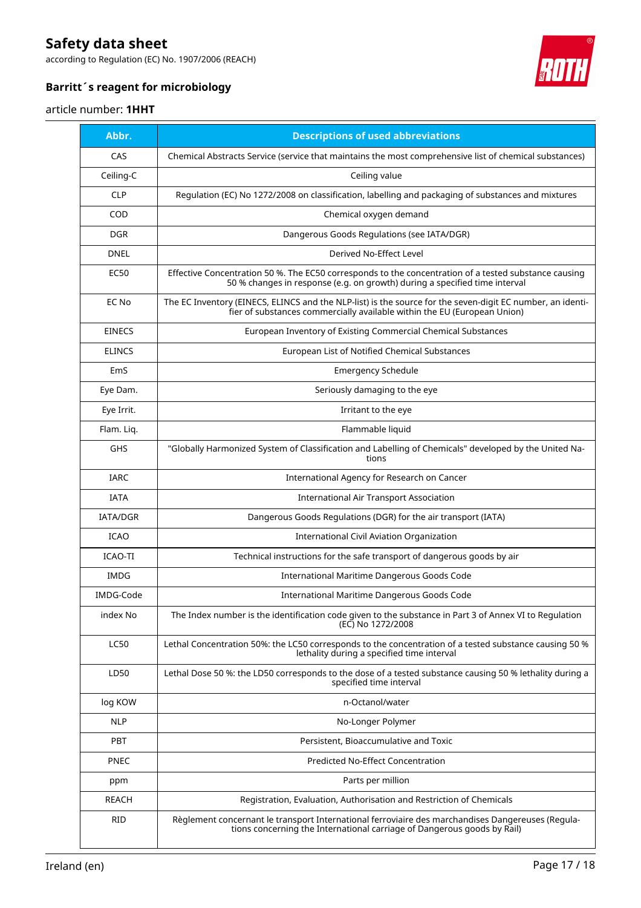according to Regulation (EC) No. 1907/2006 (REACH)

![](_page_16_Picture_2.jpeg)

### **Barritt´s reagent for microbiology**

#### article number: **1HHT**

| Abbr.           | <b>Descriptions of used abbreviations</b>                                                                                                                                              |
|-----------------|----------------------------------------------------------------------------------------------------------------------------------------------------------------------------------------|
| CAS             | Chemical Abstracts Service (service that maintains the most comprehensive list of chemical substances)                                                                                 |
| Ceiling-C       | Ceiling value                                                                                                                                                                          |
| <b>CLP</b>      | Regulation (EC) No 1272/2008 on classification, labelling and packaging of substances and mixtures                                                                                     |
| COD             | Chemical oxygen demand                                                                                                                                                                 |
| <b>DGR</b>      | Dangerous Goods Regulations (see IATA/DGR)                                                                                                                                             |
| <b>DNEL</b>     | Derived No-Effect Level                                                                                                                                                                |
| EC50            | Effective Concentration 50 %. The EC50 corresponds to the concentration of a tested substance causing<br>50 % changes in response (e.g. on growth) during a specified time interval    |
| EC No           | The EC Inventory (EINECS, ELINCS and the NLP-list) is the source for the seven-digit EC number, an identi-<br>fier of substances commercially available within the EU (European Union) |
| <b>EINECS</b>   | European Inventory of Existing Commercial Chemical Substances                                                                                                                          |
| <b>ELINCS</b>   | European List of Notified Chemical Substances                                                                                                                                          |
| <b>EmS</b>      | <b>Emergency Schedule</b>                                                                                                                                                              |
| Eye Dam.        | Seriously damaging to the eye                                                                                                                                                          |
| Eye Irrit.      | Irritant to the eye                                                                                                                                                                    |
| Flam. Lig.      | Flammable liquid                                                                                                                                                                       |
| GHS             | "Globally Harmonized System of Classification and Labelling of Chemicals" developed by the United Na-<br>tions                                                                         |
| <b>IARC</b>     | International Agency for Research on Cancer                                                                                                                                            |
| <b>IATA</b>     | International Air Transport Association                                                                                                                                                |
| <b>IATA/DGR</b> | Dangerous Goods Regulations (DGR) for the air transport (IATA)                                                                                                                         |
| <b>ICAO</b>     | International Civil Aviation Organization                                                                                                                                              |
| ICAO-TI         | Technical instructions for the safe transport of dangerous goods by air                                                                                                                |
| <b>IMDG</b>     | International Maritime Dangerous Goods Code                                                                                                                                            |
| IMDG-Code       | International Maritime Dangerous Goods Code                                                                                                                                            |
| index No        | The Index number is the identification code given to the substance in Part 3 of Annex VI to Regulation<br>(EC) No 1272/2008                                                            |
| <b>LC50</b>     | Lethal Concentration 50%: the LC50 corresponds to the concentration of a tested substance causing 50 %<br>lethality during a specified time interval                                   |
| LD50            | Lethal Dose 50 %: the LD50 corresponds to the dose of a tested substance causing 50 % lethality during a<br>specified time interval                                                    |
| log KOW         | n-Octanol/water                                                                                                                                                                        |
| <b>NLP</b>      | No-Longer Polymer                                                                                                                                                                      |
| PBT             | Persistent, Bioaccumulative and Toxic                                                                                                                                                  |
| <b>PNEC</b>     | Predicted No-Effect Concentration                                                                                                                                                      |
| ppm             | Parts per million                                                                                                                                                                      |
| <b>REACH</b>    | Registration, Evaluation, Authorisation and Restriction of Chemicals                                                                                                                   |
| RID             | Règlement concernant le transport International ferroviaire des marchandises Dangereuses (Regula-<br>tions concerning the International carriage of Dangerous goods by Rail)           |